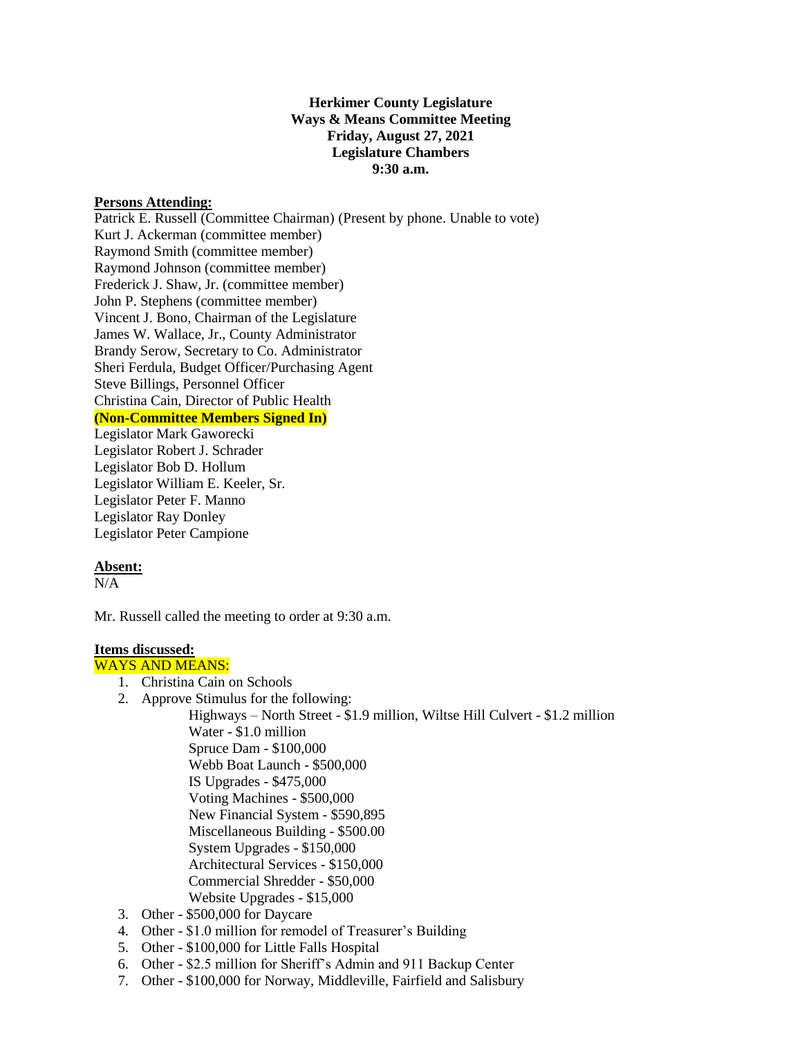## **Herkimer County Legislature Ways & Means Committee Meeting Friday, August 27, 2021 Legislature Chambers 9:30 a.m.**

### **Persons Attending:**

Patrick E. Russell (Committee Chairman) (Present by phone. Unable to vote) Kurt J. Ackerman (committee member) Raymond Smith (committee member) Raymond Johnson (committee member) Frederick J. Shaw, Jr. (committee member) John P. Stephens (committee member) Vincent J. Bono, Chairman of the Legislature James W. Wallace, Jr., County Administrator Brandy Serow, Secretary to Co. Administrator Sheri Ferdula, Budget Officer/Purchasing Agent Steve Billings, Personnel Officer Christina Cain, Director of Public Health **(Non-Committee Members Signed In)** Legislator Mark Gaworecki Legislator Robert J. Schrader Legislator Bob D. Hollum

Legislator William E. Keeler, Sr. Legislator Peter F. Manno Legislator Ray Donley Legislator Peter Campione

## **Absent:**

 $N/A$ 

Mr. Russell called the meeting to order at 9:30 a.m.

## **Items discussed:**

# WAYS AND MEANS:

- 1. Christina Cain on Schools
- 2. Approve Stimulus for the following:
	- Highways North Street \$1.9 million, Wiltse Hill Culvert \$1.2 million Water - \$1.0 million Spruce Dam - \$100,000 Webb Boat Launch - \$500,000 IS Upgrades - \$475,000 Voting Machines - \$500,000 New Financial System - \$590,895 Miscellaneous Building - \$500.00 System Upgrades - \$150,000 Architectural Services - \$150,000 Commercial Shredder - \$50,000 Website Upgrades - \$15,000
- 3. Other \$500,000 for Daycare
- 4. Other \$1.0 million for remodel of Treasurer's Building
- 5. Other \$100,000 for Little Falls Hospital
- 6. Other \$2.5 million for Sheriff's Admin and 911 Backup Center
- 7. Other \$100,000 for Norway, Middleville, Fairfield and Salisbury